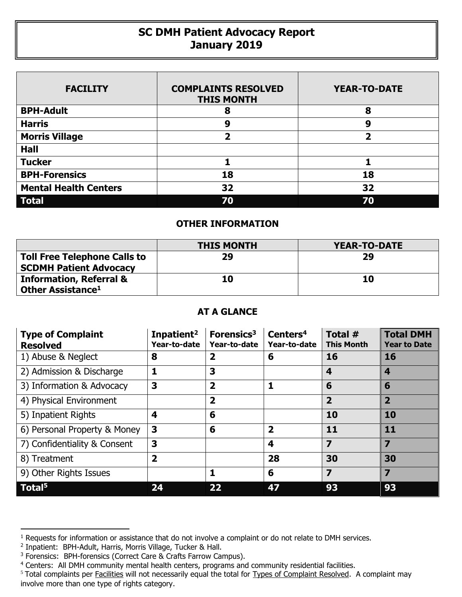## **SC DMH Patient Advocacy Report January 2019**

| <b>FACILITY</b>              | <b>COMPLAINTS RESOLVED</b><br><b>THIS MONTH</b> | <b>YEAR-TO-DATE</b>     |
|------------------------------|-------------------------------------------------|-------------------------|
| <b>BPH-Adult</b>             | 8                                               | 8                       |
| <b>Harris</b>                | 9                                               | 9                       |
| <b>Morris Village</b>        | 2                                               | $\overline{\mathbf{2}}$ |
| <b>Hall</b>                  |                                                 |                         |
| <b>Tucker</b>                |                                                 |                         |
| <b>BPH-Forensics</b>         | 18                                              | 18                      |
| <b>Mental Health Centers</b> | 32                                              | 32                      |
| <b>Total</b>                 | 70                                              | 70                      |

## **OTHER INFORMATION**

|                                                                      | <b>THIS MONTH</b> | YEAR-TO-DATE |
|----------------------------------------------------------------------|-------------------|--------------|
| <b>Toll Free Telephone Calls to</b><br><b>SCDMH Patient Advocacy</b> | 29                | 29           |
| <b>Information, Referral &amp;</b><br>Other Assistance <sup>1</sup>  | 10                | 10           |

## **AT A GLANCE**

| <b>Type of Complaint</b><br><b>Resolved</b> | Inpatient <sup>2</sup><br>Year-to-date | Forensics <sup>3</sup><br>Year-to-date | Centers <sup>4</sup><br>Year-to-date | Total #<br><b>This Month</b> | <b>Total DMH</b><br><b>Year to Date</b> |
|---------------------------------------------|----------------------------------------|----------------------------------------|--------------------------------------|------------------------------|-----------------------------------------|
| 1) Abuse & Neglect                          | 8                                      | $\overline{\mathbf{2}}$                | 6                                    | 16                           | 16                                      |
| 2) Admission & Discharge                    | 1                                      | 3                                      |                                      | 4                            | 4                                       |
| 3) Information & Advocacy                   | 3                                      | $\overline{2}$                         | 1                                    | 6                            | 6                                       |
| 4) Physical Environment                     |                                        | $\overline{\mathbf{2}}$                |                                      | $\overline{2}$               | $\overline{2}$                          |
| 5) Inpatient Rights                         | 4                                      | 6                                      |                                      | 10                           | 10                                      |
| 6) Personal Property & Money                | 3                                      | 6                                      | $\overline{\mathbf{2}}$              | 11                           | 11                                      |
| 7) Confidentiality & Consent                | 3                                      |                                        | $\boldsymbol{4}$                     | 7                            | $\overline{\mathbf{z}}$                 |
| 8) Treatment                                | $\overline{2}$                         |                                        | 28                                   | 30                           | 30                                      |
| 9) Other Rights Issues                      |                                        | 1                                      | 6                                    | $\overline{\mathbf{z}}$      | $\overline{\mathbf{z}}$                 |
| Total <sup>5</sup>                          | 24                                     | 22                                     | 47                                   | 93                           | 93                                      |

 $\overline{a}$ 

<sup>&</sup>lt;sup>1</sup> Requests for information or assistance that do not involve a complaint or do not relate to DMH services.

<sup>2</sup> Inpatient: BPH-Adult, Harris, Morris Village, Tucker & Hall.

<sup>&</sup>lt;sup>3</sup> Forensics: BPH-forensics (Correct Care & Crafts Farrow Campus).

<sup>&</sup>lt;sup>4</sup> Centers: All DMH community mental health centers, programs and community residential facilities.

<sup>&</sup>lt;sup>5</sup> Total complaints per Facilities will not necessarily equal the total for Types of Complaint Resolved. A complaint may involve more than one type of rights category.